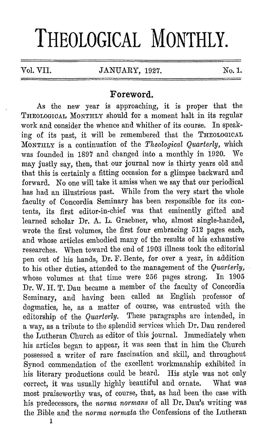# **THEOLOGICAL MONTHLY.**

## **Foreword.**

As the new year is approaching, it is proper that the THEOLOGICAL MONTHLY should for a moment halt in its regular work and consider the whence and whither of its course. In speaking of its past, it will be remembered that the THEOLOGICAL MONTHLY is a continuation of the *Theological Quarterly,* which<br>was founded in 1897 and changed into a monthly in 1920. We was founded in 1897 and changed into a monthly in 1920. may justly say, then, that our journal now is thirty years old and that this is certainly a fitting occasion for a glimpse backward and forward. No one will take it amiss when we say that our periodical has had an illustrious past. While from the very start the whole faculty of Concordia Seminary has been responsible for its contents, its first editor-in-chief was that eminently gifted and learned scholar Dr. A. L. Graebner, who, almost single-handed, wrote the first volumes, the first four embracing 512 pages each, and whose articles embodied many of the results of his exhaustive researches. When toward the end of 1903 illness took the editorial pen out of his hands, Dr. F. Bente, for over a year, in addition to his other duties, attended to the management of the *Quarterly,*  whose volumes at that time were 256 pages strong. In 1905 Dr. W. H. T. Dau became a member of the faculty of Concordia Seminary, and having been called as English professor of dogmatics, he, as a matter of course, was entrusted with the editorship of the *Quarterly*. These paragraphs are intended, in editorship of the *Quarterly*. a way, as a tribute to the splendid services which Dr. Dau rendered the Lutheran Church as editor of this journal. Immediately when his articles began to appear, it was seen that in him the Church possessed a writer of rare fascination and skill, and throughout Synod commendation of the excellent workmanship exhibited in his literary productions could be heard. His style was not only correct, it was usually highly beautiful and ornate. What was most praiseworthy was, of course, that, as had been the case with his predecessors, the *norma normans* of all Dr. Dau's writing was the Bible and the *norma normata* the Confessions of the Lutheran

1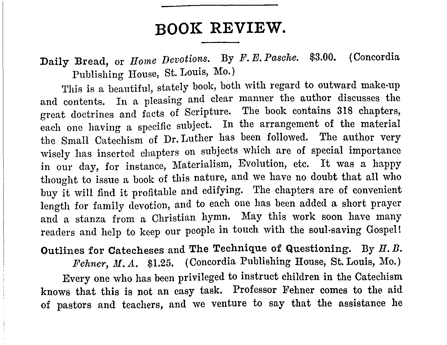# **BOOK REVIEW.**

Daily Bread, or *Home Devotions.* By *F. E. Pasche.* \$3.00. (Concordia Publishing House, St. Louis, Mo.)

This is a beautiful, stately book, both with regard to outward make-up and contents. In a pleasing and clear manner the author discusses the great doctrines and facts of Scripture. The book contains 318 chapters, each one having a specific subject. In the arrangement of the material the Small Catechism of Dr. Luther has been followed. The author very wisely has inserted chapters on subjects which are of special importance in our day, for instance, Materialism, Evolution, etc. It was a happy thought to issue a book of this nature, and we have no doubt that all who buy it will find it profitable and edifying. The chapters are of convenient length for family devotion, and to each one has been added a short prayer and a stanza from a Christian hymn. May this work soon have many readers and help to keep our people in touch with the soul-saving Gospel!

#### Outlines for Catecheses and The Technique of Questioning. Dy H.B.

Fehner, M.A. \$1.25. (Concordia Publishing House, St. Louis, Mo.)

Every one who has been privileged to instruct children in the Catechism knows that this is not an easy task. Professor Fehner comes to the aid of pastors and teachers, and we venture to say that the assistance he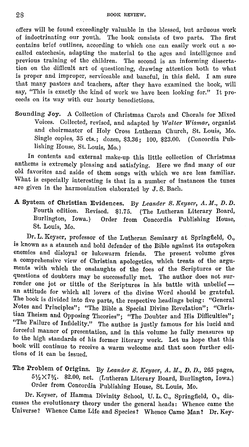offers will be found exceedingly valuable in the blessed, but arduous work of indoctrinating our youth. The book consists of two parts. The first contains brief outlines, according to which one can easily work out a socalled catechesis, adapting the material to the ages and intelligence and previous training of the children. The second is an informing dissertation on the difficult art of questioning, drawing attention both to what is proper and improper, serviceable and baneful, in this field. I am sure that many pastors and teachers, after they have examined the book, will say, "This is exactly the kind of work we have been looking for." It procecds on its way with our hearty benedictions.

Sounding Joy. A Collection of Christmas Carols and Chorals for Mixed Voices. Collected, revised, and adapted by *Walter Wismar,* organist and choirmaster of Holy Cross Lutheran Church, St. Louis, Mo. Single copies, 35 cts.; dozen, \$3.36; 100, \$23.00. ( Concordia Publishing House, St. Louis, Mo.)

In contents and external make-up this little collection of Christmas anthems is extremely pleasing and satisfying. Here we find many of our old favorites and aside of them songs with which we are less familiar. What is especially interesting is that in a number of instances the tunes are given in the harmonization elaborated by J. S. Bach.

A System of Christian Evidences. By *Leander S. Keyser, A. M., D. D.* Fourth edition. Revised. \$1.75. (The Lutheran Literary Board, Burlington, Iowa.) Order from Concordia Publishing House, St. Louis, Mo.

Dr. L. Keyser, professor of the Lutheran Seminary at Springfield, 0., is known as a staunch and bold defender of the Dible against its outspoken enemies and disloyal or lukewarm friends. The present volume gives a comprehensive view of Christian apologetics, which treats of the arguments with which the onslaughts of the foes of the Scriptures or the questions of doubters may be successfully met. The author does not sur· render one jot or tittle of the Scriptures in his battle with unbelief -an attitude for which all lovers of the divine Word should be grateful. The book is divided into five parts, the respective headings being: "General Notes and Principles"; "The Bible a Special Divine Revelation"; "Christian 'l'heism and Opposing Theories"; "The Doubter and His Difficulties"; "The Failure of Infidelity." The author is justly famous for his lucid and forceful manner of presentation, and in this volume he fully measures up to the high standards of his former literary work. Let us hope that this book will continue to receive a warm welcome and that soon further editions of it can be issued.

The Problem of Origins. By *Leander 8. Keyser, A. M., D. D.,* 265 pages,  $5\frac{1}{2} \times 7\frac{3}{4}$ . \$2.00, net. (Lutheran Literary Board, Burlington, Iowa.) Order from Concordia Publishing House, St. Louis, Mo.

Dr. Keyser, of Hamma Divinity School, U. L. C., Springfield, 0., discusses the evolutionary theory under the general heads: Whence came the Universe? Whence Came Life and Species? Whence Came Man? Dr. Key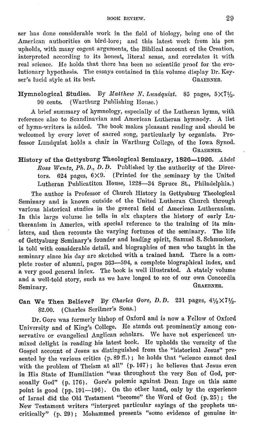ser has done considerable work in the field of biology, being one of the American authorities on bird-lore; and this latest work from his pen upholds, with many cogent arguments, the Biblical account of the Creation, interpreted according to its honest, literal sense, and correlates it with real science. He holds that there has been no scientific proof for the evolutionary hypothesis. The essays contained in this volume display Dr. Keyser's lucid style at its best. GRAEBNER.

#### Hymnological Studies. By Matthew N. Lundquist. 85 pages,  $5 \times 7\frac{1}{2}$ . 90 cents. (Wartburg Publishing House.)

A brief summary of hymnology, especially of the Lutheran hymn, with reference also to Scandinavian and American Lutheran hymnody. A list of hymn-writers is added. The book makes pleasant reading and should he welcomed by every lover of sacred song, particularly by organists. Professor Lundquist holds a chair in Wartburg College, of the Iowa Synod. GRAEBNER.

History of the Gettysburg Theological Seminary, 1826-1926. Abdel Ross Wentz, Ph.D., D. D. Published by the authority of the Directors. 624 pages,  $6 \times 9$ . (Printed for the seminary by the United Lutheran Publicatiton House, 1228-34 Spruce St., Philadelphia.)

The author is Professor of Church History in Gettysburg Theological Seminary and is known outside of the United Lutheran Church through various historical studies in the general field of American Lutheranism. In this large volume he tells in six chapters the history of early Lutheranism in America, with special reference to the training of its ministers, and then recounts the varying fortunes of the seminary. The life of Gettysburg Seminary's founder and leading spirit, Samuel S. Schmucker, is told with considerable detail, and biographies of men who taught in the seminary since his day are sketched with a trained hand. There is a complete roster of alumni, pages 363-504, a complete biographical index, and a very good general index. The book is well illustrated. A stately volume and a well-told story, such as we have longed to see of our own Concordia Seminary Seminary.

### Can We Then Believe? By *Charles Gore, D. D.* 231 pages,  $4\frac{1}{2} \times 7\frac{1}{2}$ . \$2.00. ( Charles Scribner's Sons.)

Dr. Gore was formerly bishop of Oxford and is now a Fellow of Oxford University and of King's College. He stands out prominently among conservative or evangelical Anglican scholars. We have not experienced unmixed delight in reading his latest book. He upholds the veracity of the Gospel account of Jesus as distinguished from the "historical Jesus" presented by the various critics (p. 89 ff.); he holds that "science cannot deal with the problem of Theism at all" (p. 167); he believes that Jesus even in His State of Humiliation "was throughout the very Son of God, personally God" (p. 176). Gore's polemic against Dean Inge on this same point is good (pp. 191-196). On the other hand, only by the experience of Israel did the Old Testament "become" the Word of God ( p. 25) ; the New Testament writers "interpret particular sayings of the prophets uncritically" (p. 29) ; Mohammed presents "some evidence of genuine in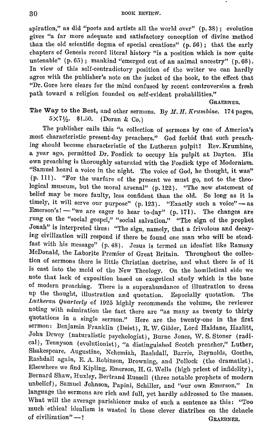spiration," as did "poets and artists all the world over" (p. 38) ; evolution gives "a far more adequate and satisfactory conception of divine method than the old scientific dogma of special creations"  $(p. 56)$ ; that the early chapters of Genesis record literal history "is a position which is now quite untenable" (p. 65); mankind "emerged out of an animal ancestry" (p. 66). In view of this self-contradictory position of the writer we can hardly agree with the publisher's note on the jacket of the book, to the effect that "Dr. Gore here clears for the mind confused by recent controversies a fresh path toward a religion founded on self-evident probabilities."

GRAEBNER.

#### The Way to the Best, and other sermons. By *M. H. Krumbine.* 174 pages,  $5 \times 7\frac{1}{2}$ . \$1.50. (Doran & Co.)

The publisher calls this "a collection of sermons by one of America's most characteristic present-day preachers." God forbid that such preaching should become characteristic of the Lutheran pulpit! Rev. Krumbine, a year ago, permitted Dr. Fosdick to occupy his pulpit at Dayton. His own preaching is thoroughly saturated with the Fosdick type of Modernism. "Samuel heard a voice in the night. The voice of God, he thought, it was" (p. Ill). "For the warfare of the present we must go, not to the theological museum, but the moral arsenal" (p. 122). "The new statement of belief may be more faulty, less confident than the old. So long as it is timely, it will serve our purpose" (p. 123). "Exactly such a voice" - as Emerson's! - "we are eager to hear to-day" (p. 171). The changes are rung on the "social gospel," "social salvation." "The sign of the prophet Jonah" is interpreted thus: "The sign, namely, that a frivolous and decaying civilization will respond if there be found one man who will be steadfast with his message" (p.48). Jesus is termed an idealist like Ramsay McDonald, the Laborite Premier of Great Britain. Throughout the collection of sermons there is little Christian doctrine, and what there is of it is cast into the mold of the New Theology. On the homiletical side we note that lack of exposition based on exegetical study which is the bane of modern preaching. There is a superabundance of illustration to dress up the thought, illustration and quotation. Especially quotation. The *Lutheran Quarterly* of 1925 highly recommends the volume, the reviewer noting with admiration the fact there are "as many as twenty to thirty quotations in a single sermon." Here are the twenty-one in the first sermon: Benjamin Franklin (Deist), R. W. Gilder, Lord Haldane, Hazlitt, John Dewey (naturalistic psychologist), Burne Jones, W. S. Stoner (radical), Tennyson (evolutionist), "a distinguished Scotch preacher," Luther, Shakespeare, Augustine, Nehemiah, Raslidall, Barrie, Reynolds, Goethe, Rashdall again, E. A. Robinson, Drowning, and Pollock (the dramatist). Elsewhere we find Kipling, Emerson, II. G. Wells ( high priest of infidelity), Bernard Shaw, Huxley, Bertrand Russell (three notable prophets of modern unbelief), Samuel Johnson, Papini, Schiller, and "our own Emerson." In language the sermons are rich and full, yet hardly addressed to the masses. What will the average parishioner make of such a sentence as this: "Too much ethical idealism is wasted in these clever diatribes on the debacle of civilization"-? GRAEBNER.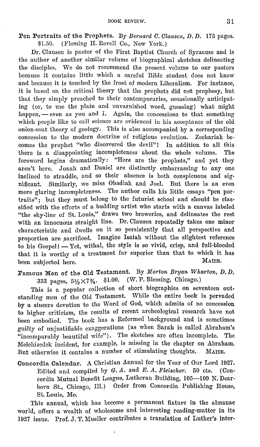Pen Portraits of the Prophets. By *Bernard C. Clausen, D. D.* 175 pages. \$1.50. (Fleming H. Revell Co., New York.)

Dr. Clausen is pastor of the First Baptist Church of Syracuse and is the author of another similar volume of biographical sketches delineating the disciples. We do not recommend the present volume to our pastors because it contains little which a careful Bible student does not know and because it is touched by the frost of modern Liberalism. For instance, it is based on the critical theory that the prophets did not prophesy, but that they simply preached to their contemporaries, occasionally anticipating ( or, to use the plain and unvarnished word, guessing) what might happen, - even as you and I. Again, the concessions to that something which people like to call science are evidenced in his acceptance of the old onion-coat theory of geology. This is also accompanied by a corresponding concession to the modern doctrine of religious evolution. Zechariah becomes the prophet "who discovered the devil"! In addition to all this there is a disappointing incompleteness about the whole volume. The foreword begins dramatically: "Here are the prophets," and yet they aren't here. Jonah and Daniel are distinctly embarrassing to any one inclined to straddle, and so their absence is both conspicuous and significant. Similarly, we miss Obadiah and Joel. But there is an even more glaring incompleteness. The author calls his little essays "pen portraits"; but they must belong to the futurist school and should be classified with the efforts of a budding artist who starts with a canvas labeled "the sky-line of St. Louis," draws two breweries, and delineates the rest with an innocuous straight line. Dr. Clausen repeatedly takes one minor characteristic and dwells on it so persistently that all perspective and proportion are sacrificed. Imagine Isaiah without the slightest reference to his Gospel! - Yet, withal, the style is so vivid, crisp, and full-blooded that it is worthy of a treatment far superior than that to which it has been subjected here. MAIER.

Famous Men of the Old Testament. By *Morton Bryan Wharton, D.D.* 333 pages, 5½X7¾, \$1.00. (W. P. Blessing, Chicago,)

This is a popular collection of short biographies on seventeen outstanding men of the Old Testament. While the entire book is pervaded by a sincere devotion to the Word of God, which admits of no concession to higher criticism, the results of recent archeological research have not been embodied. The book has a Reformed background and is sometimes guilty of unjustifiable exaggerations (as when Sarah is called Abraham's "incomparably beautiful wife"). The sketches are often incomplete. The Melchizedek incident, for example, is missing in the chapter on Abraham. But otherwise it contains a number of stimulating thoughts. MAIER.

Concordia Calendar. A Christian Annual for the Year of Our Lord 1927. Edited and compiled by  $G$ .  $\Lambda$ . and  $E$ .  $\Lambda$ . *Fleischer.* 50 cts. (Concordia Mutual Benefit League, Lutheran Building, 105-109 N. Dearborn St., Chicago, Ill.) Order from Concordia Publishing House, St. Louis, Mo.

This annual, which has become a permanent fixture in the almanac world, offers a wealth of wholesome and interesting reading-matter in its 1927 issue. Prof. J. T. Mueller contributes a translation of Luther's inter